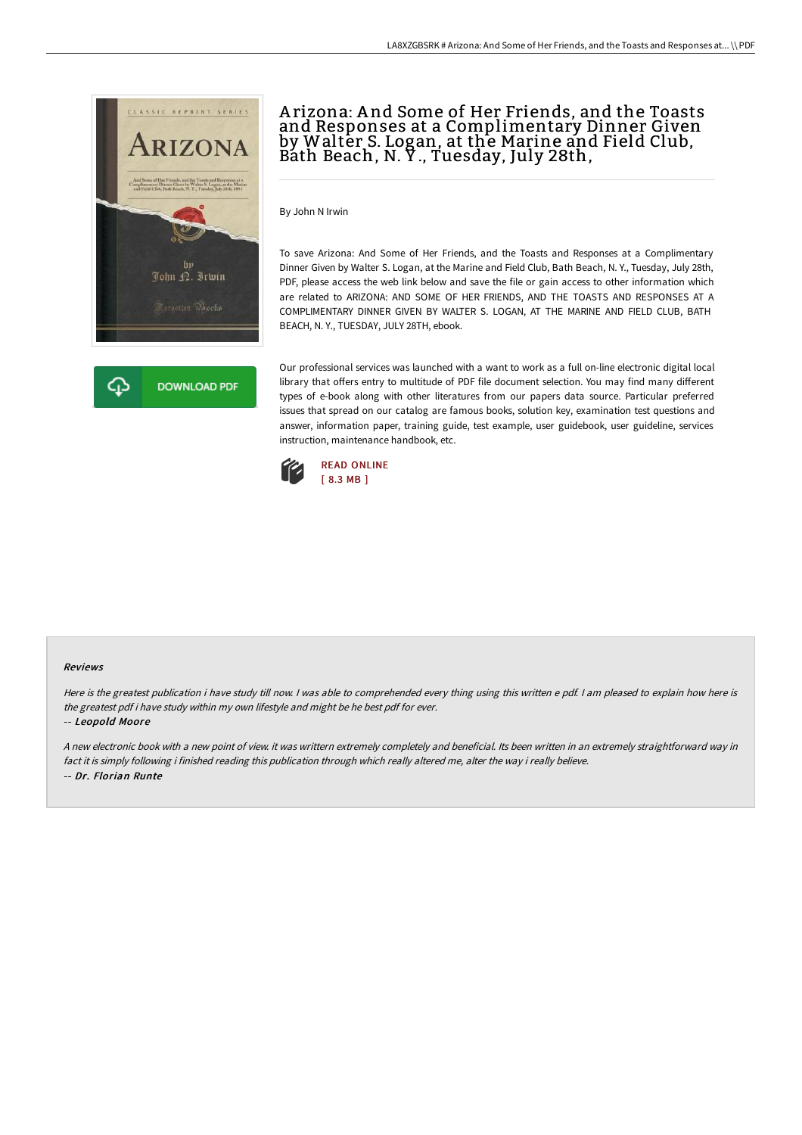



# A rizona: A nd Some of Her Friends, and the Toasts and Responses at a Complimentary Dinner Given by Walter S. Logan, at the Marine and Field Club, Bath Beach, N. Y ., Tuesday, July 28th,

By John N Irwin

To save Arizona: And Some of Her Friends, and the Toasts and Responses at a Complimentary Dinner Given by Walter S. Logan, at the Marine and Field Club, Bath Beach, N. Y., Tuesday, July 28th, PDF, please access the web link below and save the file or gain access to other information which are related to ARIZONA: AND SOME OF HER FRIENDS, AND THE TOASTS AND RESPONSES AT A COMPLIMENTARY DINNER GIVEN BY WALTER S. LOGAN, AT THE MARINE AND FIELD CLUB, BATH BEACH, N. Y., TUESDAY, JULY 28TH, ebook.

Our professional services was launched with a want to work as a full on-line electronic digital local library that offers entry to multitude of PDF file document selection. You may find many different types of e-book along with other literatures from our papers data source. Particular preferred issues that spread on our catalog are famous books, solution key, examination test questions and answer, information paper, training guide, test example, user guidebook, user guideline, services instruction, maintenance handbook, etc.



#### Reviews

Here is the greatest publication i have study till now. <sup>I</sup> was able to comprehended every thing using this written <sup>e</sup> pdf. <sup>I</sup> am pleased to explain how here is the greatest pdf i have study within my own lifestyle and might be he best pdf for ever.

#### -- Leopold Moore

<sup>A</sup> new electronic book with <sup>a</sup> new point of view. it was writtern extremely completely and beneficial. Its been written in an extremely straightforward way in fact it is simply following i finished reading this publication through which really altered me, alter the way i really believe. -- Dr. Florian Runte